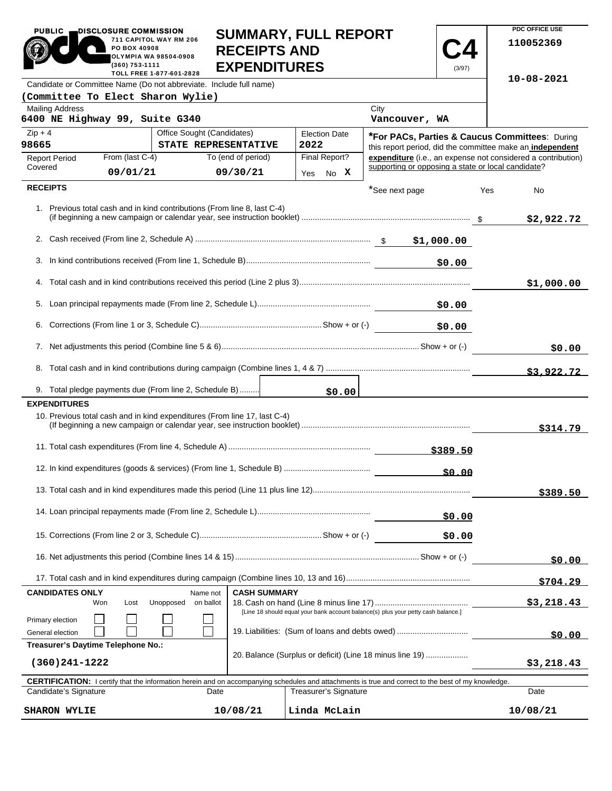| <b>PUBLIC</b>                                                                                                                                                               | DISCLOSURE COMMISSION<br>PO BOX 40908<br>(360) 753-1111 | 711 CAPITOL WAY RM 206<br><b>OLYMPIA WA 98504-0908</b><br>TOLL FREE 1-877-601-2828 | <b>SUMMARY, FULL REPORT</b><br><b>RECEIPTS AND</b><br><b>EXPENDITURES</b> |              |                                                                                                             |                                                                                                                                                            | (3/97)     |          | PDC OFFICE USE<br>110052369                                  |
|-----------------------------------------------------------------------------------------------------------------------------------------------------------------------------|---------------------------------------------------------|------------------------------------------------------------------------------------|---------------------------------------------------------------------------|--------------|-------------------------------------------------------------------------------------------------------------|------------------------------------------------------------------------------------------------------------------------------------------------------------|------------|----------|--------------------------------------------------------------|
|                                                                                                                                                                             |                                                         | Candidate or Committee Name (Do not abbreviate. Include full name)                 |                                                                           |              |                                                                                                             |                                                                                                                                                            |            |          | $10 - 08 - 2021$                                             |
| (Committee To Elect Sharon Wylie)                                                                                                                                           |                                                         |                                                                                    |                                                                           |              |                                                                                                             |                                                                                                                                                            |            |          |                                                              |
| <b>Mailing Address</b><br>6400 NE Highway 99, Suite G340                                                                                                                    |                                                         |                                                                                    |                                                                           |              |                                                                                                             | City<br>Vancouver, WA                                                                                                                                      |            |          |                                                              |
| $Zip + 4$<br>Office Sought (Candidates)<br><b>Election Date</b><br>98665<br>STATE REPRESENTATIVE<br>2022                                                                    |                                                         |                                                                                    |                                                                           |              | *For PACs, Parties & Caucus Committees: During<br>this report period, did the committee make an independent |                                                                                                                                                            |            |          |                                                              |
| <b>Report Period</b>                                                                                                                                                        | From (last C-4)                                         |                                                                                    | To (end of period)                                                        |              | Final Report?                                                                                               |                                                                                                                                                            |            |          | expenditure (i.e., an expense not considered a contribution) |
| Covered                                                                                                                                                                     | 09/01/21                                                |                                                                                    | 09/30/21                                                                  |              | Yes No X                                                                                                    | supporting or opposing a state or local candidate?                                                                                                         |            |          |                                                              |
| <b>RECEIPTS</b>                                                                                                                                                             |                                                         |                                                                                    |                                                                           |              |                                                                                                             | *See next page                                                                                                                                             |            | Yes      | No                                                           |
|                                                                                                                                                                             |                                                         | 1. Previous total cash and in kind contributions (From line 8, last C-4)           |                                                                           |              |                                                                                                             |                                                                                                                                                            |            |          | \$2,922.72                                                   |
|                                                                                                                                                                             |                                                         |                                                                                    |                                                                           |              |                                                                                                             |                                                                                                                                                            |            |          |                                                              |
| 3.                                                                                                                                                                          |                                                         |                                                                                    |                                                                           |              |                                                                                                             |                                                                                                                                                            | \$0.00     |          |                                                              |
|                                                                                                                                                                             |                                                         |                                                                                    |                                                                           |              |                                                                                                             |                                                                                                                                                            |            |          | \$1,000.00                                                   |
|                                                                                                                                                                             |                                                         |                                                                                    |                                                                           |              |                                                                                                             |                                                                                                                                                            | \$0.00     |          |                                                              |
|                                                                                                                                                                             |                                                         |                                                                                    |                                                                           |              |                                                                                                             |                                                                                                                                                            | \$0.00     |          |                                                              |
|                                                                                                                                                                             |                                                         |                                                                                    |                                                                           |              |                                                                                                             |                                                                                                                                                            | \$0.00     |          |                                                              |
|                                                                                                                                                                             |                                                         |                                                                                    |                                                                           |              |                                                                                                             |                                                                                                                                                            |            |          | \$3,922.72                                                   |
|                                                                                                                                                                             |                                                         | 9. Total pledge payments due (From line 2, Schedule B)                             |                                                                           |              | \$0.00                                                                                                      |                                                                                                                                                            |            |          |                                                              |
| <b>EXPENDITURES</b>                                                                                                                                                         |                                                         |                                                                                    |                                                                           |              |                                                                                                             |                                                                                                                                                            |            |          |                                                              |
|                                                                                                                                                                             |                                                         | 10. Previous total cash and in kind expenditures (From line 17, last C-4)          |                                                                           |              |                                                                                                             |                                                                                                                                                            |            |          | \$314.79                                                     |
|                                                                                                                                                                             |                                                         |                                                                                    |                                                                           |              |                                                                                                             |                                                                                                                                                            | \$389.50   |          |                                                              |
|                                                                                                                                                                             |                                                         |                                                                                    |                                                                           |              |                                                                                                             |                                                                                                                                                            | \$0.00     |          |                                                              |
|                                                                                                                                                                             |                                                         |                                                                                    |                                                                           |              |                                                                                                             |                                                                                                                                                            |            |          | \$389.50                                                     |
| \$0.00                                                                                                                                                                      |                                                         |                                                                                    |                                                                           |              |                                                                                                             |                                                                                                                                                            |            |          |                                                              |
|                                                                                                                                                                             |                                                         |                                                                                    |                                                                           |              |                                                                                                             |                                                                                                                                                            | \$0.00     |          |                                                              |
|                                                                                                                                                                             |                                                         |                                                                                    |                                                                           |              |                                                                                                             |                                                                                                                                                            | \$0.00     |          |                                                              |
|                                                                                                                                                                             |                                                         |                                                                                    |                                                                           |              |                                                                                                             |                                                                                                                                                            |            |          | \$704.29                                                     |
| <b>CANDIDATES ONLY</b><br><b>CASH SUMMARY</b><br>Name not<br>Unopposed<br>on ballot<br>Won<br>Lost                                                                          |                                                         |                                                                                    |                                                                           |              |                                                                                                             | \$3,218.43                                                                                                                                                 |            |          |                                                              |
| [Line 18 should equal your bank account balance(s) plus your petty cash balance.]<br>Primary election<br>19. Liabilities: (Sum of loans and debts owed)<br>General election |                                                         |                                                                                    |                                                                           |              |                                                                                                             | \$0.00                                                                                                                                                     |            |          |                                                              |
| Treasurer's Daytime Telephone No.:<br>20. Balance (Surplus or deficit) (Line 18 minus line 19)<br>$(360)241 - 1222$                                                         |                                                         |                                                                                    |                                                                           |              |                                                                                                             |                                                                                                                                                            | \$3,218.43 |          |                                                              |
|                                                                                                                                                                             |                                                         |                                                                                    |                                                                           |              |                                                                                                             | <b>CERTIFICATION:</b> I certify that the information herein and on accompanying schedules and attachments is true and correct to the best of my knowledge. |            |          |                                                              |
| Candidate's Signature<br>Date                                                                                                                                               |                                                         |                                                                                    |                                                                           |              | <b>Treasurer's Signature</b>                                                                                |                                                                                                                                                            |            |          | Date                                                         |
| 10/08/21<br><b>SHARON WYLIE</b>                                                                                                                                             |                                                         |                                                                                    |                                                                           | Linda McLain |                                                                                                             |                                                                                                                                                            |            | 10/08/21 |                                                              |

**PDC OFFICE USE**